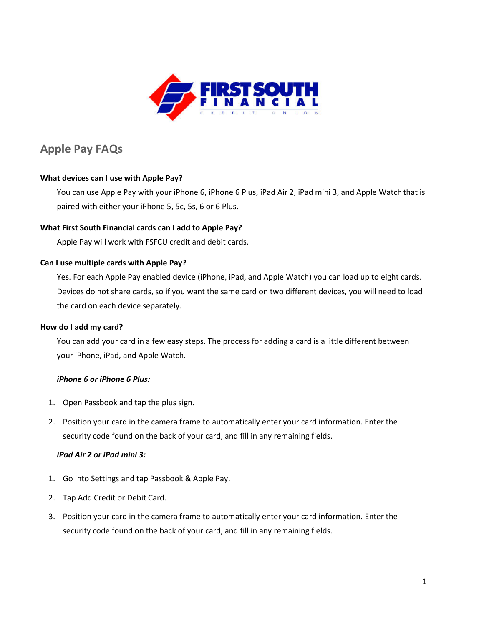

# **Apple Pay FAQs**

# **[What devices can I use with Apple Pay?](https://www.wellsfargo.com/mobile-payments/apple-pay/faq/%23Expand)**

You can use Apple Pay with your iPhone 6, iPhone 6 Plus, iPad Air 2, iPad mini 3, and Apple Watch that is paired with either your iPhone 5, 5c, 5s, 6 or 6 Plus.

# **What First South Financial [cards can I add to Apple Pay?](https://www.wellsfargo.com/mobile-payments/apple-pay/faq/%23Expand)**

Apple Pay will work with FSFCU credit and debit cards.

### **[Can I use multiple cards with Apple Pay?](https://www.wellsfargo.com/mobile-payments/apple-pay/faq/%23Expand)**

Yes. For each Apple Pay enabled device (iPhone, iPad, and Apple Watch) you can load up to eight cards. Devices do not share cards, so if you want the same card on two different devices, you will need to load the card on each device separately.

### **[How do I add my card?](https://www.wellsfargo.com/mobile-payments/apple-pay/faq/%23Expand)**

You can add your card in a few easy steps. The process for adding a card is a little different between your iPhone, iPad, and Apple Watch.

### *iPhone 6 or iPhone 6 Plus:*

- 1. Open Passbook and tap the plus sign.
- 2. Position your card in the camera frame to automatically enter your card information. Enter the security code found on the back of your card, and fill in any remaining fields.

### *iPad Air 2 or iPad mini 3:*

- 1. Go into Settings and tap Passbook & Apple Pay.
- 2. Tap Add Credit or Debit Card.
- 3. Position your card in the camera frame to automatically enter your card information. Enter the security code found on the back of your card, and fill in any remaining fields.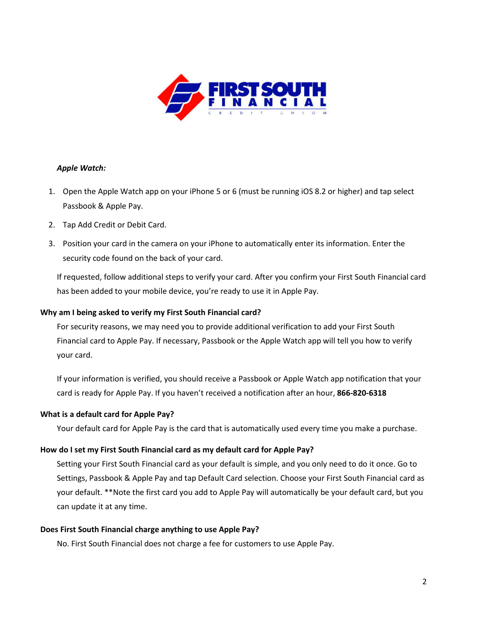

# *Apple Watch:*

- 1. Open the Apple Watch app on your iPhone 5 or 6 (must be running iOS 8.2 or higher) and tap select Passbook & Apple Pay.
- 2. Tap Add Credit or Debit Card.
- 3. Position your card in the camera on your iPhone to automatically enter its information. Enter the security code found on the back of your card.

If requested, follow additional steps to verify your card. After you confirm your First South Financial card has been added to your mobile device, you're ready to use it in Apple Pay.

# **[Why am I being asked to verify my First South Financial](https://www.wellsfargo.com/mobile-payments/apple-pay/faq/%23Expand) card?**

For security reasons, we may need you to provide additional verification to add your First South Financial card to Apple Pay. If necessary, Passbook or the Apple Watch app will tell you how to verify your card.

If your information is verified, you should receive a Passbook or Apple Watch app notification that your card is ready for Apple Pay. If you haven't received a notification after an hour, **866-820-6318**

### **[What is a default card for Apple Pay?](https://www.wellsfargo.com/mobile-payments/apple-pay/faq/%23Expand)**

Your default card for Apple Pay is the card that is automatically used every time you make a purchase.

# **How do I set my First South Financial [card as my default card for Apple Pay?](https://www.wellsfargo.com/mobile-payments/apple-pay/faq/%23Expand)**

Setting your First South Financial card as your default is simple, and you only need to do it once. Go to Settings, Passbook & Apple Pay and tap Default Card selection. Choose your First South Financial card as your default. \*\*Note the first card you add to Apple Pay will automatically be your default card, but you can update it at any time.

### **[Does First South Financial](https://www.wellsfargo.com/mobile-payments/apple-pay/faq/%23Expand) charge anything to use Apple Pay?**

No. First South Financial does not charge a fee for customers to use Apple Pay.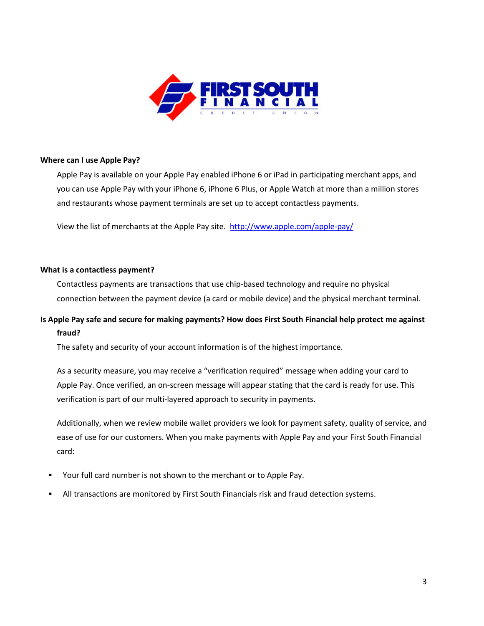

#### **[Where can I use Apple Pay?](https://www.wellsfargo.com/mobile-payments/apple-pay/faq/%23Expand)**

Apple Pay is available on your Apple Pay enabled iPhone 6 or iPad in participating merchant apps, and you can use Apple Pay with your iPhone 6, iPhone 6 Plus, or Apple Watch at more than a million stores and restaurants whose payment terminals are set up to accept contactless payments.

View the list of merchants at the Apple Pay site.<http://www.apple.com/apple-pay/>

#### **[What is a contactless payment?](https://www.wellsfargo.com/mobile-payments/apple-pay/faq/%23Expand)**

Contactless payments are transactions that use chip-based technology and require no physical connection between the payment device (a card or mobile device) and the physical merchant terminal.

# **[Is Apple Pay safe and secure for making payments? How does First South Financial](https://www.wellsfargo.com/mobile-payments/apple-pay/faq/%23Expand) help protect me against [fraud?](https://www.wellsfargo.com/mobile-payments/apple-pay/faq/%23Expand)**

The safety and security of your account information is of the highest importance.

As a security measure, you may receive a "verification required" message when adding your card to Apple Pay. Once verified, an on-screen message will appear stating that the card is ready for use. This verification is part of our multi-layered approach to security in payments.

Additionally, when we review mobile wallet providers we look for payment safety, quality of service, and ease of use for our customers. When you make payments with Apple Pay and your First South Financial card:

- Your full card number is not shown to the merchant or to Apple Pay.
- All transactions are monitored by First South Financials risk and fraud detection systems.